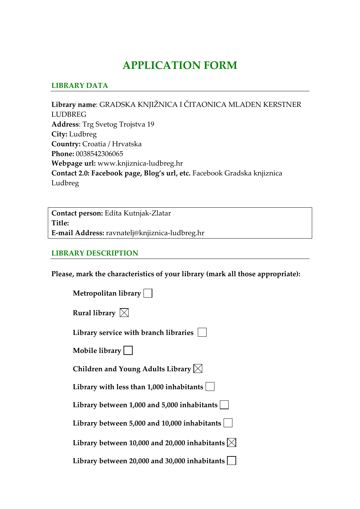## **APPLICATION FORM**

## **LIBRARY DATA**

**Library name**: GRADSKA KNJIŽNICA I ČITAONICA MLADEN KERSTNER LUDBREG **Address**: Trg Svetog Trojstva 19 **City:** Ludbreg **Country:** Croatia / Hrvatska **Phone:** 0038542306065 **Webpage url:** www.knjiznica‐ludbreg.hr **Contact 2.0: Facebook page, Blog's url, etc.** Facebook Gradska knjiznica Ludbreg

**Contact person:** Edita Kutnjak‐Zlatar **Title: E‐mail Address:** ravnatelj@knjiznica‐ludbreg.hr

## **LIBRARY DESCRIPTION**

**Please, mark the characteristics of your library (mark all those appropriate):**

| Metropolitan library                                      |
|-----------------------------------------------------------|
| Rural library $\boxtimes$                                 |
| Library service with branch libraries                     |
| Mobile library                                            |
| Children and Young Adults Library $\boxtimes$             |
| Library with less than $1,000$ inhabitants $ $            |
| Library between 1,000 and 5,000 inhabitants               |
| Library between 5,000 and 10,000 inhabitants              |
| Library between 10,000 and 20,000 inhabitants $\boxtimes$ |
| Library between 20,000 and 30,000 inhabitants             |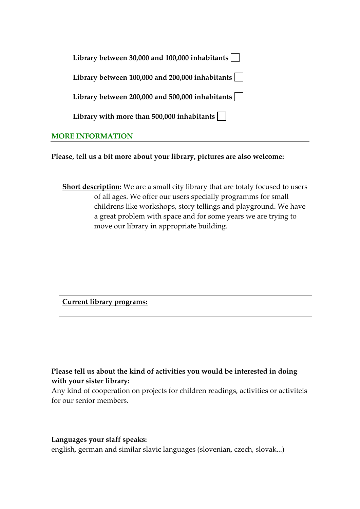| Library between 30,000 and 100,000 inhabitants               |  |
|--------------------------------------------------------------|--|
| Library between 100,000 and 200,000 inhabitants              |  |
| Library between 200,000 and 500,000 inhabitants              |  |
| Library with more than 500,000 inhabitants $\vert \ \ \vert$ |  |
| <b>MORE INFORMATION</b>                                      |  |

**Please, tell us a bit more about your library, pictures are also welcome:** 

**Short description:** We are a small city library that are totaly focused to users of all ages. We offer our users specially programms for small childrens like workshops, story tellings and playground. We have a great problem with space and for some years we are trying to move our library in appropriate building.

**Current library programs:** 

**Please tell us about the kind of activities you would be interested in doing with your sister library:**

Any kind of cooperation on projects for children readings, activities or activiteis for our senior members.

## **Languages your staff speaks:**

english, german and similar slavic languages (slovenian, czech, slovak...)